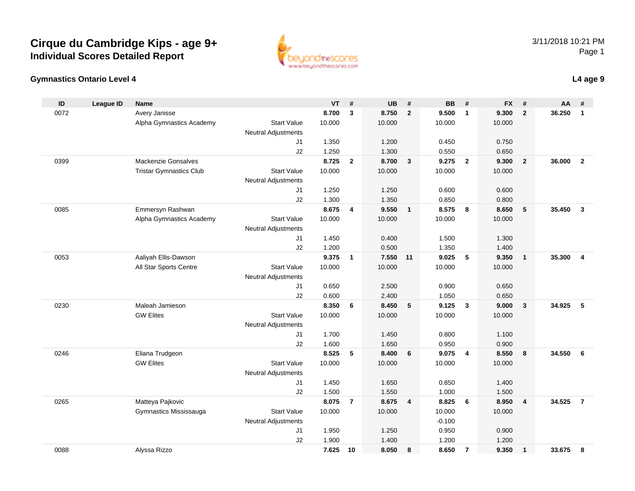



| ID   | <b>League ID</b> | <b>Name</b>                    |                            | VT     | #              | <b>UB</b> | #                       | <b>BB</b> | #                       | <b>FX</b> | #                       | AA     | #                       |
|------|------------------|--------------------------------|----------------------------|--------|----------------|-----------|-------------------------|-----------|-------------------------|-----------|-------------------------|--------|-------------------------|
| 0072 |                  | Avery Janisse                  |                            | 8.700  | 3              | 8.750     | $\overline{2}$          | 9.500     | $\mathbf{1}$            | 9.300     | $\overline{2}$          | 36.250 | $\mathbf{1}$            |
|      |                  | Alpha Gymnastics Academy       | <b>Start Value</b>         | 10.000 |                | 10.000    |                         | 10.000    |                         | 10.000    |                         |        |                         |
|      |                  |                                | <b>Neutral Adjustments</b> |        |                |           |                         |           |                         |           |                         |        |                         |
|      |                  |                                | J1                         | 1.350  |                | 1.200     |                         | 0.450     |                         | 0.750     |                         |        |                         |
|      |                  |                                | J2                         | 1.250  |                | 1.300     |                         | 0.550     |                         | 0.650     |                         |        |                         |
| 0399 |                  | Mackenzie Gonsalves            |                            | 8.725  | $\mathbf{2}$   | 8.700     | $\mathbf{3}$            | 9.275     | $\overline{2}$          | 9.300     | $\overline{2}$          | 36.000 | $\overline{2}$          |
|      |                  | <b>Tristar Gymnastics Club</b> | <b>Start Value</b>         | 10.000 |                | 10.000    |                         | 10.000    |                         | 10.000    |                         |        |                         |
|      |                  |                                | <b>Neutral Adjustments</b> |        |                |           |                         |           |                         |           |                         |        |                         |
|      |                  |                                | J1                         | 1.250  |                | 1.250     |                         | 0.600     |                         | 0.600     |                         |        |                         |
|      |                  |                                | J2                         | 1.300  |                | 1.350     |                         | 0.850     |                         | 0.800     |                         |        |                         |
| 0085 |                  | Emmersyn Rashwan               |                            | 8.675  | 4              | 9.550     | $\overline{\mathbf{1}}$ | 8.575     | - 8                     | 8.650     | 5                       | 35.450 | $\mathbf{3}$            |
|      |                  | Alpha Gymnastics Academy       | <b>Start Value</b>         | 10.000 |                | 10.000    |                         | 10.000    |                         | 10.000    |                         |        |                         |
|      |                  |                                | <b>Neutral Adjustments</b> |        |                |           |                         |           |                         |           |                         |        |                         |
|      |                  |                                | J1                         | 1.450  |                | 0.400     |                         | 1.500     |                         | 1.300     |                         |        |                         |
|      |                  |                                | J2                         | 1.200  |                | 0.500     |                         | 1.350     |                         | 1.400     |                         |        |                         |
| 0053 |                  | Aaliyah Ellis-Dawson           |                            | 9.375  | $\mathbf{1}$   | 7.550     | 11                      | 9.025     | 5                       | 9.350     | $\overline{1}$          | 35.300 | $\overline{\mathbf{4}}$ |
|      |                  | All Star Sports Centre         | <b>Start Value</b>         | 10.000 |                | 10.000    |                         | 10.000    |                         | 10.000    |                         |        |                         |
|      |                  |                                | <b>Neutral Adjustments</b> |        |                |           |                         |           |                         |           |                         |        |                         |
|      |                  |                                | J1                         | 0.650  |                | 2.500     |                         | 0.900     |                         | 0.650     |                         |        |                         |
|      |                  |                                | J2                         | 0.600  |                | 2.400     |                         | 1.050     |                         | 0.650     |                         |        |                         |
| 0230 |                  | Maleah Jamieson                |                            | 8.350  | 6              | 8.450     | 5                       | 9.125     | $\overline{\mathbf{3}}$ | 9.000     | $\overline{\mathbf{3}}$ | 34.925 | 5                       |
|      |                  | <b>GW Elites</b>               | <b>Start Value</b>         | 10.000 |                | 10.000    |                         | 10.000    |                         | 10.000    |                         |        |                         |
|      |                  |                                | <b>Neutral Adjustments</b> |        |                |           |                         |           |                         |           |                         |        |                         |
|      |                  |                                | J1                         | 1.700  |                | 1.450     |                         | 0.800     |                         | 1.100     |                         |        |                         |
|      |                  |                                | J2                         | 1.600  |                | 1.650     |                         | 0.950     |                         | 0.900     |                         |        |                         |
| 0246 |                  | Eliana Trudgeon                |                            | 8.525  | 5              | 8.400     | 6                       | 9.075     | $\overline{4}$          | 8.550     | 8                       | 34.550 | 6                       |
|      |                  | <b>GW Elites</b>               | <b>Start Value</b>         | 10.000 |                | 10.000    |                         | 10.000    |                         | 10.000    |                         |        |                         |
|      |                  |                                | Neutral Adjustments        |        |                |           |                         |           |                         |           |                         |        |                         |
|      |                  |                                | J1                         | 1.450  |                | 1.650     |                         | 0.850     |                         | 1.400     |                         |        |                         |
|      |                  |                                | J2                         | 1.500  |                | 1.550     |                         | 1.000     |                         | 1.500     |                         |        |                         |
| 0265 |                  | Matteya Pajkovic               |                            | 8.075  | $\overline{7}$ | 8.675     | $\overline{4}$          | 8.825     | 6                       | 8.950     | $\overline{4}$          | 34.525 | $\overline{7}$          |
|      |                  | Gymnastics Mississauga         | <b>Start Value</b>         | 10.000 |                | 10.000    |                         | 10.000    |                         | 10.000    |                         |        |                         |
|      |                  |                                | Neutral Adjustments        |        |                |           |                         | $-0.100$  |                         |           |                         |        |                         |
|      |                  |                                | J1                         | 1.950  |                | 1.250     |                         | 0.950     |                         | 0.900     |                         |        |                         |
|      |                  |                                | J2                         | 1.900  |                | 1.400     |                         | 1.200     |                         | 1.200     |                         |        |                         |
| 0088 |                  | Alyssa Rizzo                   |                            | 7.625  | 10             | 8.050     | 8                       | 8.650     | $\overline{7}$          | 9.350     | $\mathbf{1}$            | 33.675 | 8                       |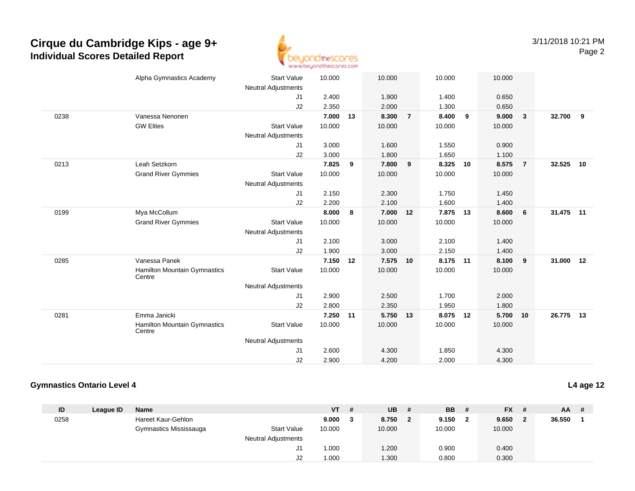

|      | Alpha Gymnastics Academy               | <b>Start Value</b>         | 10.000 |    | 10.000 |                | 10.000 |    | 10.000 |                         |           |     |
|------|----------------------------------------|----------------------------|--------|----|--------|----------------|--------|----|--------|-------------------------|-----------|-----|
|      |                                        | <b>Neutral Adjustments</b> |        |    |        |                |        |    |        |                         |           |     |
|      |                                        | J <sub>1</sub>             | 2.400  |    | 1.900  |                | 1.400  |    | 0.650  |                         |           |     |
|      |                                        | J2                         | 2.350  |    | 2.000  |                | 1.300  |    | 0.650  |                         |           |     |
| 0238 | Vanessa Nenonen                        |                            | 7.000  | 13 | 8.300  | $\overline{7}$ | 8.400  | 9  | 9.000  | $\overline{\mathbf{3}}$ | 32.700    | - 9 |
|      | <b>GW Elites</b>                       | <b>Start Value</b>         | 10.000 |    | 10.000 |                | 10.000 |    | 10.000 |                         |           |     |
|      |                                        | <b>Neutral Adjustments</b> |        |    |        |                |        |    |        |                         |           |     |
|      |                                        | J1                         | 3.000  |    | 1.600  |                | 1.550  |    | 0.900  |                         |           |     |
|      |                                        | J2                         | 3.000  |    | 1.800  |                | 1.650  |    | 1.100  |                         |           |     |
| 0213 | Leah Setzkorn                          |                            | 7.825  | 9  | 7.800  | 9              | 8.325  | 10 | 8.575  | $\overline{7}$          | 32.525    | 10  |
|      | <b>Grand River Gymmies</b>             | <b>Start Value</b>         | 10.000 |    | 10.000 |                | 10.000 |    | 10.000 |                         |           |     |
|      |                                        | <b>Neutral Adjustments</b> |        |    |        |                |        |    |        |                         |           |     |
|      |                                        | J1                         | 2.150  |    | 2.300  |                | 1.750  |    | 1.450  |                         |           |     |
|      |                                        | J2                         | 2.200  |    | 2.100  |                | 1.600  |    | 1.400  |                         |           |     |
| 0199 | Mya McCollum                           |                            | 8.000  | 8  | 7.000  | 12             | 7.875  | 13 | 8.600  | 6                       | 31.475 11 |     |
|      | <b>Grand River Gymmies</b>             | <b>Start Value</b>         | 10.000 |    | 10.000 |                | 10.000 |    | 10.000 |                         |           |     |
|      |                                        | <b>Neutral Adjustments</b> |        |    |        |                |        |    |        |                         |           |     |
|      |                                        | J1                         | 2.100  |    | 3.000  |                | 2.100  |    | 1.400  |                         |           |     |
|      |                                        | J2                         | 1.900  |    | 3.000  |                | 2.150  |    | 1.400  |                         |           |     |
| 0285 | Vanessa Panek                          |                            | 7.150  | 12 | 7.575  | 10             | 8.175  | 11 | 8.100  | $\overline{9}$          | 31.000 12 |     |
|      | Hamilton Mountain Gymnastics<br>Centre | <b>Start Value</b>         | 10.000 |    | 10.000 |                | 10.000 |    | 10.000 |                         |           |     |
|      |                                        | <b>Neutral Adjustments</b> |        |    |        |                |        |    |        |                         |           |     |
|      |                                        | J1                         | 2.900  |    | 2.500  |                | 1.700  |    | 2.000  |                         |           |     |
|      |                                        | J2                         | 2.800  |    | 2.350  |                | 1.950  |    | 1.800  |                         |           |     |
| 0281 | Emma Janicki                           |                            | 7.250  | 11 | 5.750  | 13             | 8.075  | 12 | 5.700  | 10                      | 26.775    | 13  |
|      | Hamilton Mountain Gymnastics<br>Centre | <b>Start Value</b>         | 10.000 |    | 10.000 |                | 10.000 |    | 10.000 |                         |           |     |
|      |                                        | <b>Neutral Adjustments</b> |        |    |        |                |        |    |        |                         |           |     |
|      |                                        | J1                         | 2.600  |    | 4.300  |                | 1.850  |    | 4.300  |                         |           |     |
|      |                                        | J2                         | 2.900  |    | 4.200  |                | 2.000  |    | 4.300  |                         |           |     |

### **Gymnastics Ontario Level 4**

**ID League ID Name VT # UB # BB # FX # AA #** 0258 Hareet Kaur-Gehlon **9.000 <sup>3</sup> 8.750 <sup>2</sup> 9.150 <sup>2</sup> 9.650 <sup>2</sup> 36.550 <sup>1</sup>** Gymnastics Mississauga Start Value 10.000 10.000 10.000 10.000 Neutral Adjustments J1 1.000 1.200 0.900 0.400 J21.000 1.300 0.800 0.300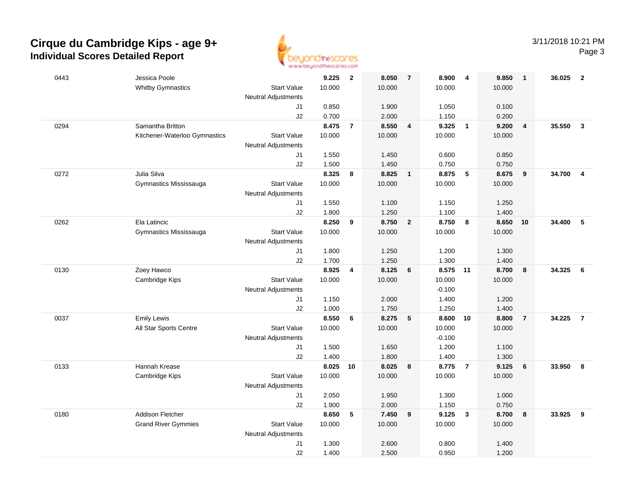

| 0443 | Jessica Poole                 |                            | 9.225          | $\overline{2}$ | 8.050          | $\overline{7}$          | 8.900          | $\overline{4}$          | 9.850          | $\overline{1}$ | 36.025 | $\overline{2}$          |
|------|-------------------------------|----------------------------|----------------|----------------|----------------|-------------------------|----------------|-------------------------|----------------|----------------|--------|-------------------------|
|      | <b>Whitby Gymnastics</b>      | <b>Start Value</b>         | 10.000         |                | 10.000         |                         | 10.000         |                         | 10.000         |                |        |                         |
|      |                               | <b>Neutral Adjustments</b> |                |                |                |                         |                |                         |                |                |        |                         |
|      |                               | J1                         | 0.850          |                | 1.900          |                         | 1.050          |                         | 0.100          |                |        |                         |
|      |                               | J2                         | 0.700          |                | 2.000          |                         | 1.150          |                         | 0.200          |                |        |                         |
| 0294 | Samantha Britton              |                            | 8.475          | $\overline{7}$ | 8.550          | $\overline{\mathbf{4}}$ | 9.325          | $\overline{\mathbf{1}}$ | 9.200          | $\overline{4}$ | 35.550 | $\mathbf{3}$            |
|      | Kitchener-Waterloo Gymnastics | <b>Start Value</b>         | 10.000         |                | 10.000         |                         | 10.000         |                         | 10.000         |                |        |                         |
|      |                               | <b>Neutral Adjustments</b> |                |                |                |                         |                |                         |                |                |        |                         |
|      |                               | J1                         | 1.550          |                | 1.450          |                         | 0.600          |                         | 0.850          |                |        |                         |
|      |                               | J2                         | 1.500          |                | 1.450          |                         | 0.750          |                         | 0.750          |                |        |                         |
| 0272 | Julia Silva                   |                            | 8.325          | 8              | 8.825          | $\overline{1}$          | 8.875          | 5                       | 8.675          | 9              | 34.700 | $\overline{\mathbf{4}}$ |
|      | Gymnastics Mississauga        | <b>Start Value</b>         | 10.000         |                | 10.000         |                         | 10.000         |                         | 10.000         |                |        |                         |
|      |                               | Neutral Adjustments        |                |                |                |                         |                |                         |                |                |        |                         |
|      |                               | J1                         | 1.550          |                | 1.100          |                         | 1.150          |                         | 1.250          |                |        |                         |
|      |                               | J2                         | 1.800          |                | 1.250          |                         | 1.100          |                         | 1.400          |                |        |                         |
| 0262 | Ela Latincic                  |                            | 8.250          | 9              | 8.750          | $\overline{2}$          | 8.750 8        |                         | 8.650          | 10             | 34.400 | 5                       |
|      | Gymnastics Mississauga        | <b>Start Value</b>         | 10.000         |                | 10.000         |                         | 10.000         |                         | 10.000         |                |        |                         |
|      |                               | Neutral Adjustments        |                |                |                |                         |                |                         |                |                |        |                         |
|      |                               | J1                         | 1.800          |                | 1.250          |                         | 1.200          |                         | 1.300          |                |        |                         |
|      |                               | J2                         | 1.700          |                | 1.250          |                         | 1.300          |                         | 1.400          |                |        |                         |
| 0130 | Zoey Hawco                    |                            | 8.925          | 4              | 8.125          | $6\phantom{1}6$         | 8.575          | 11                      | 8.700          | 8              | 34.325 | 6                       |
|      | Cambridge Kips                | <b>Start Value</b>         | 10.000         |                | 10.000         |                         | 10.000         |                         | 10.000         |                |        |                         |
|      |                               | <b>Neutral Adjustments</b> |                |                |                |                         | $-0.100$       |                         |                |                |        |                         |
|      |                               | J1                         | 1.150          |                | 2.000          |                         | 1.400          |                         | 1.200          |                |        |                         |
|      |                               | J2                         | 1.000          |                | 1.750          |                         | 1.250          |                         | 1.400          |                |        |                         |
| 0037 | <b>Emily Lewis</b>            |                            | 8.550          | 6              | 8.275          | $-5$                    | 8.600 10       |                         | 8.800          | $\overline{7}$ | 34.225 | $\overline{7}$          |
|      | All Star Sports Centre        | <b>Start Value</b>         | 10.000         |                | 10.000         |                         | 10.000         |                         | 10.000         |                |        |                         |
|      |                               | Neutral Adjustments        |                |                |                |                         | $-0.100$       |                         |                |                |        |                         |
|      |                               | J1                         | 1.500          |                | 1.650          |                         | 1.200          |                         | 1.100          |                |        |                         |
|      |                               | J2                         | 1.400          |                | 1.800          |                         | 1.400          |                         | 1.300          |                |        |                         |
| 0133 | Hannah Krease                 |                            | 8.025          | 10             | 8.025          | 8                       | 8.775          | $\overline{7}$          | 9.125          | 6              | 33.950 | 8                       |
|      | Cambridge Kips                | <b>Start Value</b>         | 10.000         |                | 10.000         |                         | 10.000         |                         | 10.000         |                |        |                         |
|      |                               | <b>Neutral Adjustments</b> |                |                |                |                         |                |                         |                |                |        |                         |
|      |                               | J1                         | 2.050          |                | 1.950          |                         | 1.300          |                         | 1.000          |                |        |                         |
| 0180 | <b>Addison Fletcher</b>       | J2                         | 1.900<br>8.650 | 5              | 2.000<br>7.450 | 9                       | 1.150<br>9.125 | $\overline{\mathbf{3}}$ | 0.750<br>8.700 | 8              | 33.925 | 9                       |
|      |                               | <b>Start Value</b>         |                |                |                |                         |                |                         |                |                |        |                         |
|      | <b>Grand River Gymmies</b>    |                            | 10.000         |                | 10.000         |                         | 10.000         |                         | 10.000         |                |        |                         |
|      |                               | <b>Neutral Adjustments</b> | 1.300          |                | 2.600          |                         | 0.800          |                         | 1.400          |                |        |                         |
|      |                               | J1<br>J2                   | 1.400          |                | 2.500          |                         | 0.950          |                         | 1.200          |                |        |                         |
|      |                               |                            |                |                |                |                         |                |                         |                |                |        |                         |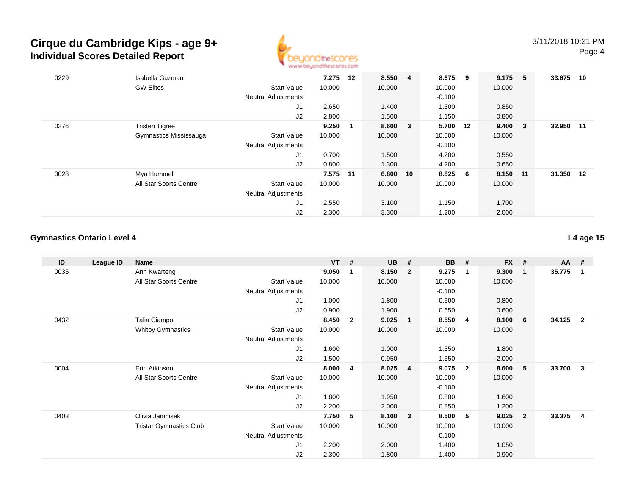

| 0229 | Isabella Guzman        |                            | 7.275    | 12          | 8.550 4  | 8.675    | - 9 | 9.175  | - 5    | 33.675 | 10 |
|------|------------------------|----------------------------|----------|-------------|----------|----------|-----|--------|--------|--------|----|
|      | <b>GW Elites</b>       | <b>Start Value</b>         | 10.000   |             | 10.000   | 10.000   |     | 10.000 |        |        |    |
|      |                        | <b>Neutral Adjustments</b> |          |             |          | $-0.100$ |     |        |        |        |    |
|      |                        | J1                         | 2.650    |             | 1.400    | 1.300    |     | 0.850  |        |        |    |
|      |                        | J2                         | 2.800    |             | 1.500    | 1.150    |     | 0.800  |        |        |    |
| 0276 | <b>Tristen Tigree</b>  |                            | 9.250    | $\mathbf 1$ | 8.600 3  | 5.700 12 |     | 9.400  | $_{3}$ | 32.950 | 11 |
|      | Gymnastics Mississauga | <b>Start Value</b>         | 10.000   |             | 10.000   | 10.000   |     | 10.000 |        |        |    |
|      |                        | <b>Neutral Adjustments</b> |          |             |          | $-0.100$ |     |        |        |        |    |
|      |                        | J1                         | 0.700    |             | 1.500    | 4.200    |     | 0.550  |        |        |    |
|      |                        | J2                         | 0.800    |             | 1.300    | 4.200    |     | 0.650  |        |        |    |
| 0028 | Mya Hummel             |                            | 7.575 11 |             | 6.800 10 | 8.825    | 6   | 8.150  | 11     | 31.350 | 12 |
|      | All Star Sports Centre | <b>Start Value</b>         | 10.000   |             | 10.000   | 10.000   |     | 10.000 |        |        |    |
|      |                        | <b>Neutral Adjustments</b> |          |             |          |          |     |        |        |        |    |
|      |                        | J <sub>1</sub>             | 2.550    |             | 3.100    | 1.150    |     | 1.700  |        |        |    |
|      |                        | J2                         | 2.300    |             | 3.300    | 1.200    |     | 2.000  |        |        |    |

## **Gymnastics Ontario Level 4**

| ID   | League ID | <b>Name</b>                    |                            | <b>VT</b> | #              | <b>UB</b> | #              | <b>BB</b> | #                       | <b>FX</b> | #                       | AA     | #                       |
|------|-----------|--------------------------------|----------------------------|-----------|----------------|-----------|----------------|-----------|-------------------------|-----------|-------------------------|--------|-------------------------|
| 0035 |           | Ann Kwarteng                   |                            | 9.050     | 1              | 8.150     | $\mathbf{2}$   | 9.275     | $\mathbf 1$             | 9.300     | $\overline{\mathbf{1}}$ | 35.775 | $\mathbf{1}$            |
|      |           | All Star Sports Centre         | <b>Start Value</b>         | 10.000    |                | 10.000    |                | 10.000    |                         | 10.000    |                         |        |                         |
|      |           |                                | <b>Neutral Adjustments</b> |           |                |           |                | $-0.100$  |                         |           |                         |        |                         |
|      |           |                                | J1                         | 1.000     |                | 1.800     |                | 0.600     |                         | 0.800     |                         |        |                         |
|      |           |                                | J2                         | 0.900     |                | 1.900     |                | 0.650     |                         | 0.600     |                         |        |                         |
| 0432 |           | Talia Ciampo                   |                            | 8.450     | $\overline{2}$ | 9.025     | $\mathbf{1}$   | 8.550     | $\overline{4}$          | 8.100     | 6                       | 34.125 | $\overline{\mathbf{2}}$ |
|      |           | <b>Whitby Gymnastics</b>       | <b>Start Value</b>         | 10.000    |                | 10.000    |                | 10.000    |                         | 10.000    |                         |        |                         |
|      |           |                                | <b>Neutral Adjustments</b> |           |                |           |                |           |                         |           |                         |        |                         |
|      |           |                                | J1                         | 1.600     |                | 1.000     |                | 1.350     |                         | 1.800     |                         |        |                         |
|      |           |                                | J2                         | 1.500     |                | 0.950     |                | 1.550     |                         | 2.000     |                         |        |                         |
| 0004 |           | Erin Atkinson                  |                            | 8.000     | 4              | 8.025     | $\overline{4}$ | 9.075     | $\overline{\mathbf{2}}$ | 8.600     | 5                       | 33.700 | $\mathbf{3}$            |
|      |           | All Star Sports Centre         | <b>Start Value</b>         | 10.000    |                | 10.000    |                | 10.000    |                         | 10.000    |                         |        |                         |
|      |           |                                | <b>Neutral Adjustments</b> |           |                |           |                | $-0.100$  |                         |           |                         |        |                         |
|      |           |                                | J1                         | 1.800     |                | 1.950     |                | 0.800     |                         | 1.600     |                         |        |                         |
|      |           |                                | J2                         | 2.200     |                | 2.000     |                | 0.850     |                         | 1.200     |                         |        |                         |
| 0403 |           | Olivia Jamnisek                |                            | 7.750     | 5              | 8.100     | 3              | 8.500     | 5                       | 9.025     | $\overline{\mathbf{2}}$ | 33.375 | -4                      |
|      |           | <b>Tristar Gymnastics Club</b> | <b>Start Value</b>         | 10.000    |                | 10.000    |                | 10.000    |                         | 10.000    |                         |        |                         |
|      |           |                                | <b>Neutral Adjustments</b> |           |                |           |                | $-0.100$  |                         |           |                         |        |                         |
|      |           |                                | J1                         | 2.200     |                | 2.000     |                | 1.400     |                         | 1.050     |                         |        |                         |
|      |           |                                | J2                         | 2.300     |                | 1.800     |                | 1.400     |                         | 0.900     |                         |        |                         |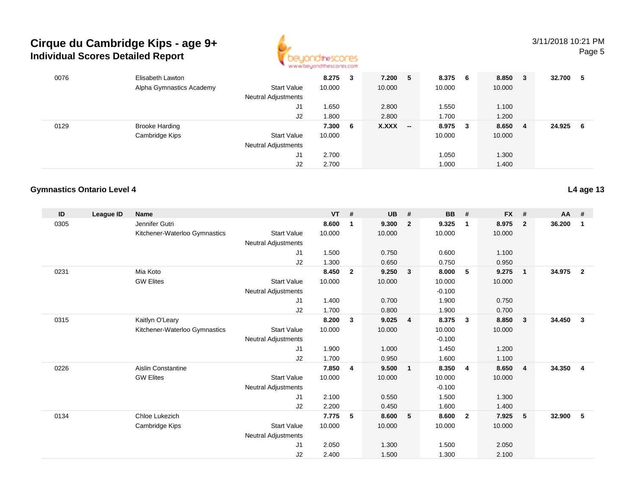

### 3/11/2018 10:21 PMPage 5

| 0076 | Elisabeth Lawton<br>Alpha Gymnastics Academy<br><b>Start Value</b><br><b>Neutral Adjustments</b> | 8.275<br>10.000 | 3 | 7.200<br>10.000 | 5                        | 8.375<br>10.000 | - 6    | 8.850<br>$_{3}$<br>10.000 |    | 32.700 | -5 |
|------|--------------------------------------------------------------------------------------------------|-----------------|---|-----------------|--------------------------|-----------------|--------|---------------------------|----|--------|----|
|      | J1                                                                                               | 1.650           |   | 2.800           |                          | 1.550           |        | 1.100                     |    |        |    |
|      | J2                                                                                               | 1.800           |   | 2.800           |                          | 1.700           |        | 1.200                     |    |        |    |
| 0129 | <b>Brooke Harding</b>                                                                            | 7.300 6         |   | X.XXX           | $\overline{\phantom{a}}$ | 8.975           | $_{3}$ | 8.650                     | -4 | 24.925 | -6 |
|      | Cambridge Kips<br><b>Start Value</b>                                                             | 10.000          |   |                 |                          | 10.000          |        | 10.000                    |    |        |    |
|      | <b>Neutral Adjustments</b>                                                                       |                 |   |                 |                          |                 |        |                           |    |        |    |
|      | J1                                                                                               | 2.700           |   |                 |                          | 1.050           |        | 1.300                     |    |        |    |
|      | J2                                                                                               | 2.700           |   |                 |                          | 1.000           |        | 1.400                     |    |        |    |

## **Gymnastics Ontario Level 4**

| ID   | <b>League ID</b> | <b>Name</b>                   |                            | <b>VT</b> | $\#$           | <b>UB</b> | #                       | <b>BB</b> | #                       | <b>FX</b> | #              | AA     | #               |
|------|------------------|-------------------------------|----------------------------|-----------|----------------|-----------|-------------------------|-----------|-------------------------|-----------|----------------|--------|-----------------|
| 0305 |                  | Jennifer Gutri                |                            | 8.600     | $\mathbf 1$    | 9.300     | $\overline{2}$          | 9.325     | $\mathbf 1$             | 8.975     | $\overline{2}$ | 36.200 | 1               |
|      |                  | Kitchener-Waterloo Gymnastics | <b>Start Value</b>         | 10.000    |                | 10.000    |                         | 10.000    |                         | 10.000    |                |        |                 |
|      |                  |                               | <b>Neutral Adjustments</b> |           |                |           |                         |           |                         |           |                |        |                 |
|      |                  |                               | J1                         | 1.500     |                | 0.750     |                         | 0.600     |                         | 1.100     |                |        |                 |
|      |                  |                               | J2                         | 1.300     |                | 0.650     |                         | 0.750     |                         | 0.950     |                |        |                 |
| 0231 |                  | Mia Koto                      |                            | 8.450     | $\overline{2}$ | 9.250     | $\overline{\mathbf{3}}$ | 8.000     | - 5                     | 9.275     | $\overline{1}$ | 34.975 | $\overline{2}$  |
|      |                  | <b>GW Elites</b>              | <b>Start Value</b>         | 10.000    |                | 10.000    |                         | 10.000    |                         | 10.000    |                |        |                 |
|      |                  |                               | <b>Neutral Adjustments</b> |           |                |           |                         | $-0.100$  |                         |           |                |        |                 |
|      |                  |                               | J1                         | 1.400     |                | 0.700     |                         | 1.900     |                         | 0.750     |                |        |                 |
|      |                  |                               | J2                         | 1.700     |                | 0.800     |                         | 1.900     |                         | 0.700     |                |        |                 |
| 0315 |                  | Kaitlyn O'Leary               |                            | 8.200     | 3              | 9.025     | $\overline{4}$          | 8.375     | $\overline{\mathbf{3}}$ | 8.850     | $\mathbf{3}$   | 34.450 | $\mathbf{3}$    |
|      |                  | Kitchener-Waterloo Gymnastics | <b>Start Value</b>         | 10.000    |                | 10.000    |                         | 10.000    |                         | 10.000    |                |        |                 |
|      |                  |                               | <b>Neutral Adjustments</b> |           |                |           |                         | $-0.100$  |                         |           |                |        |                 |
|      |                  |                               | J1                         | 1.900     |                | 1.000     |                         | 1.450     |                         | 1.200     |                |        |                 |
|      |                  |                               | J2                         | 1.700     |                | 0.950     |                         | 1.600     |                         | 1.100     |                |        |                 |
| 0226 |                  | <b>Aislin Constantine</b>     |                            | 7.850     | 4              | 9.500     | $\overline{1}$          | 8.350     | $\overline{\mathbf{4}}$ | 8.650     | $\overline{4}$ | 34.350 | 4               |
|      |                  | <b>GW Elites</b>              | <b>Start Value</b>         | 10.000    |                | 10.000    |                         | 10.000    |                         | 10.000    |                |        |                 |
|      |                  |                               | Neutral Adjustments        |           |                |           |                         | $-0.100$  |                         |           |                |        |                 |
|      |                  |                               | J1                         | 2.100     |                | 0.550     |                         | 1.500     |                         | 1.300     |                |        |                 |
|      |                  |                               | J2                         | 2.200     |                | 0.450     |                         | 1.600     |                         | 1.400     |                |        |                 |
| 0134 |                  | Chloe Lukezich                |                            | 7.775     | 5              | 8.600     | 5                       | 8.600     | $\overline{2}$          | 7.925     | 5              | 32.900 | $5\phantom{.0}$ |
|      |                  | Cambridge Kips                | <b>Start Value</b>         | 10.000    |                | 10.000    |                         | 10.000    |                         | 10.000    |                |        |                 |
|      |                  |                               | <b>Neutral Adjustments</b> |           |                |           |                         |           |                         |           |                |        |                 |
|      |                  |                               | J1                         | 2.050     |                | 1.300     |                         | 1.500     |                         | 2.050     |                |        |                 |
|      |                  |                               | J2                         | 2.400     |                | 1.500     |                         | 1.300     |                         | 2.100     |                |        |                 |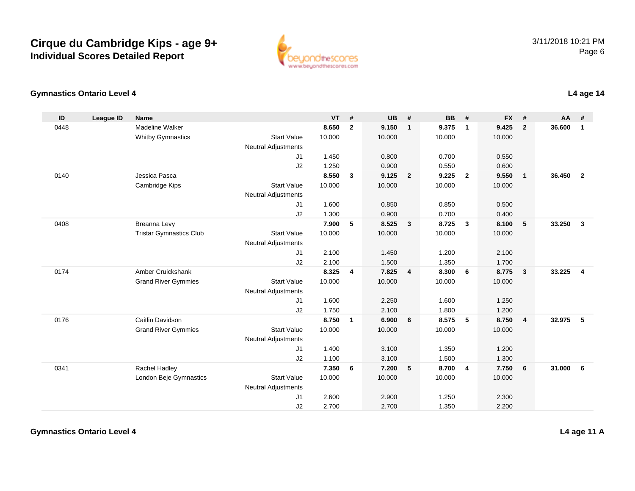

#### **Gymnastics Ontario Level 4L4 age 14**

| ID   | <b>League ID</b> | <b>Name</b>                    |                            | <b>VT</b> | #                       | <b>UB</b> | #                       | <b>BB</b> | #              | <b>FX</b> | #              | <b>AA</b> | #                       |
|------|------------------|--------------------------------|----------------------------|-----------|-------------------------|-----------|-------------------------|-----------|----------------|-----------|----------------|-----------|-------------------------|
| 0448 |                  | Madeline Walker                |                            | 8.650     | $\mathbf{2}$            | 9.150     | $\overline{1}$          | 9.375     | $\mathbf{1}$   | 9.425     | $\mathbf{2}$   | 36.600    | $\mathbf{1}$            |
|      |                  | <b>Whitby Gymnastics</b>       | <b>Start Value</b>         | 10.000    |                         | 10.000    |                         | 10.000    |                | 10.000    |                |           |                         |
|      |                  |                                | <b>Neutral Adjustments</b> |           |                         |           |                         |           |                |           |                |           |                         |
|      |                  |                                | J1                         | 1.450     |                         | 0.800     |                         | 0.700     |                | 0.550     |                |           |                         |
|      |                  |                                | J2                         | 1.250     |                         | 0.900     |                         | 0.550     |                | 0.600     |                |           |                         |
| 0140 |                  | Jessica Pasca                  |                            | 8.550     | 3                       | 9.125     | $\overline{\mathbf{2}}$ | 9.225     | $\overline{2}$ | 9.550     | $\mathbf{1}$   | 36.450    | $\overline{\mathbf{2}}$ |
|      |                  | Cambridge Kips                 | <b>Start Value</b>         | 10.000    |                         | 10.000    |                         | 10.000    |                | 10.000    |                |           |                         |
|      |                  |                                | Neutral Adjustments        |           |                         |           |                         |           |                |           |                |           |                         |
|      |                  |                                | J1                         | 1.600     |                         | 0.850     |                         | 0.850     |                | 0.500     |                |           |                         |
|      |                  |                                | J2                         | 1.300     |                         | 0.900     |                         | 0.700     |                | 0.400     |                |           |                         |
| 0408 |                  | Breanna Levy                   |                            | 7.900     | 5                       | 8.525     | $\overline{\mathbf{3}}$ | 8.725     | $\mathbf{3}$   | 8.100     | 5              | 33.250    | $\mathbf{3}$            |
|      |                  | <b>Tristar Gymnastics Club</b> | <b>Start Value</b>         | 10.000    |                         | 10.000    |                         | 10.000    |                | 10.000    |                |           |                         |
|      |                  |                                | <b>Neutral Adjustments</b> |           |                         |           |                         |           |                |           |                |           |                         |
|      |                  |                                | J1                         | 2.100     |                         | 1.450     |                         | 1.200     |                | 2.100     |                |           |                         |
|      |                  |                                | J2                         | 2.100     |                         | 1.500     |                         | 1.350     |                | 1.700     |                |           |                         |
| 0174 |                  | Amber Cruickshank              |                            | 8.325     | $\overline{\mathbf{4}}$ | 7.825     | $\overline{4}$          | 8.300     | 6              | 8.775     | $\mathbf{3}$   | 33.225    | $\overline{4}$          |
|      |                  | <b>Grand River Gymmies</b>     | <b>Start Value</b>         | 10.000    |                         | 10.000    |                         | 10.000    |                | 10.000    |                |           |                         |
|      |                  |                                | <b>Neutral Adjustments</b> |           |                         |           |                         |           |                |           |                |           |                         |
|      |                  |                                | J1                         | 1.600     |                         | 2.250     |                         | 1.600     |                | 1.250     |                |           |                         |
|      |                  |                                | J2                         | 1.750     |                         | 2.100     |                         | 1.800     |                | 1.200     |                |           |                         |
| 0176 |                  | Caitlin Davidson               |                            | 8.750     | $\mathbf{1}$            | 6.900     | 6                       | 8.575     | -5             | 8.750     | $\overline{4}$ | 32.975    | -5                      |
|      |                  | <b>Grand River Gymmies</b>     | <b>Start Value</b>         | 10.000    |                         | 10.000    |                         | 10.000    |                | 10.000    |                |           |                         |
|      |                  |                                | <b>Neutral Adjustments</b> |           |                         |           |                         |           |                |           |                |           |                         |
|      |                  |                                | J1                         | 1.400     |                         | 3.100     |                         | 1.350     |                | 1.200     |                |           |                         |
|      |                  |                                | J2                         | 1.100     |                         | 3.100     |                         | 1.500     |                | 1.300     |                |           |                         |
| 0341 |                  | Rachel Hadley                  |                            | 7.350     | 6                       | 7.200     | 5                       | 8.700     | $\overline{4}$ | 7.750     | 6              | 31.000    | 6                       |
|      |                  | London Beje Gymnastics         | <b>Start Value</b>         | 10.000    |                         | 10.000    |                         | 10.000    |                | 10.000    |                |           |                         |
|      |                  |                                | <b>Neutral Adjustments</b> |           |                         |           |                         |           |                |           |                |           |                         |
|      |                  |                                | J1                         | 2.600     |                         | 2.900     |                         | 1.250     |                | 2.300     |                |           |                         |
|      |                  |                                | J2                         | 2.700     |                         | 2.700     |                         | 1.350     |                | 2.200     |                |           |                         |

**L4 age 11 A**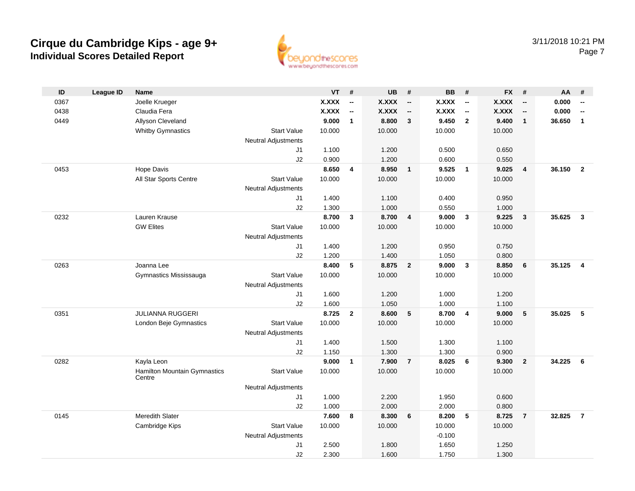

| $\mathsf{ID}$ | <b>League ID</b> | <b>Name</b>                            |                            | <b>VT</b>    | #                        | <b>UB</b>    | #                        | <b>BB</b>    | #                        | <b>FX</b>    | #                        | AA     | #                        |
|---------------|------------------|----------------------------------------|----------------------------|--------------|--------------------------|--------------|--------------------------|--------------|--------------------------|--------------|--------------------------|--------|--------------------------|
| 0367          |                  | Joelle Krueger                         |                            | <b>X.XXX</b> | --                       | X.XXX        | $\overline{\phantom{a}}$ | <b>X.XXX</b> | $\overline{\phantom{a}}$ | <b>X.XXX</b> | $\overline{\phantom{a}}$ | 0.000  | $\overline{\phantom{a}}$ |
| 0438          |                  | Claudia Fera                           |                            | <b>X.XXX</b> | $\overline{\phantom{a}}$ | <b>X.XXX</b> | $\overline{\phantom{a}}$ | <b>X.XXX</b> | $\overline{\phantom{a}}$ | <b>X.XXX</b> | $\overline{\phantom{a}}$ | 0.000  | $\overline{\phantom{a}}$ |
| 0449          |                  | Allyson Cleveland                      |                            | 9.000        | $\mathbf{1}$             | 8.800        | 3                        | 9.450        | $\overline{2}$           | 9.400        | $\mathbf{1}$             | 36.650 | $\mathbf{1}$             |
|               |                  | <b>Whitby Gymnastics</b>               | <b>Start Value</b>         | 10.000       |                          | 10.000       |                          | 10.000       |                          | 10.000       |                          |        |                          |
|               |                  |                                        | <b>Neutral Adjustments</b> |              |                          |              |                          |              |                          |              |                          |        |                          |
|               |                  |                                        | J1                         | 1.100        |                          | 1.200        |                          | 0.500        |                          | 0.650        |                          |        |                          |
|               |                  |                                        | J2                         | 0.900        |                          | 1.200        |                          | 0.600        |                          | 0.550        |                          |        |                          |
| 0453          |                  | Hope Davis                             |                            | 8.650        | 4                        | 8.950        | $\overline{1}$           | 9.525        | $\overline{\mathbf{1}}$  | 9.025        | $\overline{4}$           | 36.150 | $\overline{2}$           |
|               |                  | All Star Sports Centre                 | <b>Start Value</b>         | 10.000       |                          | 10.000       |                          | 10.000       |                          | 10.000       |                          |        |                          |
|               |                  |                                        | <b>Neutral Adjustments</b> |              |                          |              |                          |              |                          |              |                          |        |                          |
|               |                  |                                        | J1                         | 1.400        |                          | 1.100        |                          | 0.400        |                          | 0.950        |                          |        |                          |
|               |                  |                                        | J2                         | 1.300        |                          | 1.000        |                          | 0.550        |                          | 1.000        |                          |        |                          |
| 0232          |                  | Lauren Krause                          |                            | 8.700        | 3                        | 8.700        | $\overline{4}$           | 9.000        | $\mathbf{3}$             | 9.225        | $\mathbf{3}$             | 35.625 | $\overline{\mathbf{3}}$  |
|               |                  | <b>GW Elites</b>                       | <b>Start Value</b>         | 10.000       |                          | 10.000       |                          | 10.000       |                          | 10.000       |                          |        |                          |
|               |                  |                                        | <b>Neutral Adjustments</b> |              |                          |              |                          |              |                          |              |                          |        |                          |
|               |                  |                                        | J1                         | 1.400        |                          | 1.200        |                          | 0.950        |                          | 0.750        |                          |        |                          |
|               |                  |                                        | J2                         | 1.200        |                          | 1.400        |                          | 1.050        |                          | 0.800        |                          |        |                          |
| 0263          |                  | Joanna Lee                             |                            | 8.400        | 5                        | 8.875        | $\overline{2}$           | 9.000        | $\mathbf{3}$             | 8.850        | 6                        | 35.125 | $\overline{\mathbf{4}}$  |
|               |                  | Gymnastics Mississauga                 | <b>Start Value</b>         | 10.000       |                          | 10.000       |                          | 10.000       |                          | 10.000       |                          |        |                          |
|               |                  |                                        | <b>Neutral Adjustments</b> |              |                          |              |                          |              |                          |              |                          |        |                          |
|               |                  |                                        | J1                         | 1.600        |                          | 1.200        |                          | 1.000        |                          | 1.200        |                          |        |                          |
|               |                  |                                        | J2                         | 1.600        |                          | 1.050        |                          | 1.000        |                          | 1.100        |                          |        |                          |
| 0351          |                  | <b>JULIANNA RUGGERI</b>                |                            | 8.725        | $\mathbf{2}$             | 8.600        | 5                        | 8.700        | $\overline{4}$           | 9.000        | 5                        | 35.025 | -5                       |
|               |                  | London Beje Gymnastics                 | <b>Start Value</b>         | 10.000       |                          | 10.000       |                          | 10.000       |                          | 10.000       |                          |        |                          |
|               |                  |                                        | Neutral Adjustments        |              |                          |              |                          |              |                          |              |                          |        |                          |
|               |                  |                                        | J1                         | 1.400        |                          | 1.500        |                          | 1.300        |                          | 1.100        |                          |        |                          |
|               |                  |                                        | J2                         | 1.150        |                          | 1.300        |                          | 1.300        |                          | 0.900        |                          |        |                          |
| 0282          |                  | Kayla Leon                             |                            | 9.000        | $\mathbf{1}$             | 7.900        | $\overline{7}$           | 8.025        | 6                        | 9.300        | $\overline{2}$           | 34.225 | 6                        |
|               |                  | Hamilton Mountain Gymnastics<br>Centre | <b>Start Value</b>         | 10.000       |                          | 10.000       |                          | 10.000       |                          | 10.000       |                          |        |                          |
|               |                  |                                        | <b>Neutral Adjustments</b> |              |                          |              |                          |              |                          |              |                          |        |                          |
|               |                  |                                        | J1                         | 1.000        |                          | 2.200        |                          | 1.950        |                          | 0.600        |                          |        |                          |
|               |                  |                                        | J2                         | 1.000        |                          | 2.000        |                          | 2.000        |                          | 0.800        |                          |        |                          |
| 0145          |                  | Meredith Slater                        |                            | 7.600        | 8                        | 8.300        | 6                        | 8.200        | 5                        | 8.725        | $\overline{7}$           | 32.825 | $\overline{7}$           |
|               |                  | Cambridge Kips                         | <b>Start Value</b>         | 10.000       |                          | 10.000       |                          | 10.000       |                          | 10.000       |                          |        |                          |
|               |                  |                                        | <b>Neutral Adjustments</b> |              |                          |              |                          | $-0.100$     |                          |              |                          |        |                          |
|               |                  |                                        | J1                         | 2.500        |                          | 1.800        |                          | 1.650        |                          | 1.250        |                          |        |                          |
|               |                  |                                        | J2                         | 2.300        |                          | 1.600        |                          | 1.750        |                          | 1.300        |                          |        |                          |
|               |                  |                                        |                            |              |                          |              |                          |              |                          |              |                          |        |                          |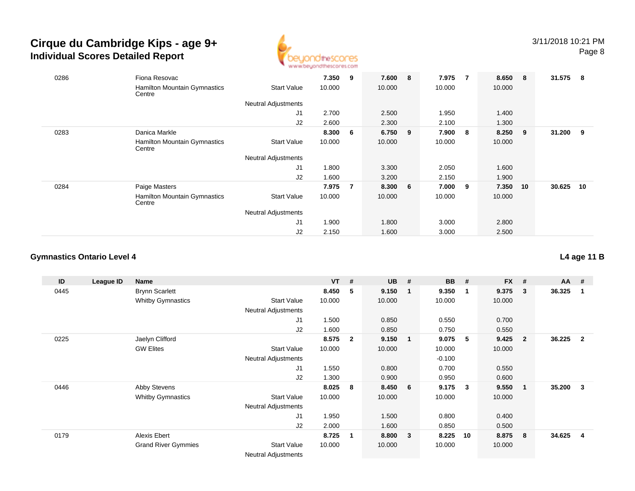

| 0286 | Fiona Resovac                                 |                            | 7.350  | 9 | 7.600  | 8   | 7.975  |   | 8.650  | - 8 | 31.575 | - 8 |
|------|-----------------------------------------------|----------------------------|--------|---|--------|-----|--------|---|--------|-----|--------|-----|
|      | <b>Hamilton Mountain Gymnastics</b><br>Centre | <b>Start Value</b>         | 10.000 |   | 10.000 |     | 10.000 |   | 10.000 |     |        |     |
|      |                                               | <b>Neutral Adjustments</b> |        |   |        |     |        |   |        |     |        |     |
|      |                                               | J1                         | 2.700  |   | 2.500  |     | 1.950  |   | 1.400  |     |        |     |
|      |                                               | J2                         | 2.600  |   | 2.300  |     | 2.100  |   | 1.300  |     |        |     |
| 0283 | Danica Markle                                 |                            | 8.300  | 6 | 6.750  | - 9 | 7.900  | 8 | 8.250  | - 9 | 31.200 | - 9 |
|      | <b>Hamilton Mountain Gymnastics</b><br>Centre | <b>Start Value</b>         | 10.000 |   | 10.000 |     | 10.000 |   | 10.000 |     |        |     |
|      |                                               | <b>Neutral Adjustments</b> |        |   |        |     |        |   |        |     |        |     |
|      |                                               | J1                         | 1.800  |   | 3.300  |     | 2.050  |   | 1.600  |     |        |     |
|      |                                               | J2                         | 1.600  |   | 3.200  |     | 2.150  |   | 1.900  |     |        |     |
| 0284 | Paige Masters                                 |                            | 7.975  | 7 | 8.300  | 6   | 7.000  | 9 | 7.350  | 10  | 30.625 | 10  |
|      | <b>Hamilton Mountain Gymnastics</b><br>Centre | <b>Start Value</b>         | 10.000 |   | 10.000 |     | 10.000 |   | 10.000 |     |        |     |
|      |                                               | Neutral Adjustments        |        |   |        |     |        |   |        |     |        |     |
|      |                                               | J1                         | 1.900  |   | 1.800  |     | 3.000  |   | 2.800  |     |        |     |
|      |                                               | J2                         | 2.150  |   | 1.600  |     | 3.000  |   | 2.500  |     |        |     |

## **Gymnastics Ontario Level 4**

| ID   | League ID | <b>Name</b>                |                            | $VT$ # |              | <b>UB</b> | #              | <b>BB</b> | #            | <b>FX</b> | #              | $AA$ # |                |
|------|-----------|----------------------------|----------------------------|--------|--------------|-----------|----------------|-----------|--------------|-----------|----------------|--------|----------------|
| 0445 |           | <b>Brynn Scarlett</b>      |                            | 8.450  | 5            | 9.150     |                | 9.350     | -1           | 9.375     | 3              | 36.325 |                |
|      |           | <b>Whitby Gymnastics</b>   | <b>Start Value</b>         | 10.000 |              | 10.000    |                | 10.000    |              | 10.000    |                |        |                |
|      |           |                            | <b>Neutral Adjustments</b> |        |              |           |                |           |              |           |                |        |                |
|      |           |                            | J1                         | 1.500  |              | 0.850     |                | 0.550     |              | 0.700     |                |        |                |
|      |           |                            | J2                         | 1.600  |              | 0.850     |                | 0.750     |              | 0.550     |                |        |                |
| 0225 |           | Jaelyn Clifford            |                            | 8.575  | $\mathbf{2}$ | 9.150     | $\blacksquare$ | 9.075     | - 5          | 9.425     | $\overline{2}$ | 36.225 | $\overline{2}$ |
|      |           | <b>GW Elites</b>           | <b>Start Value</b>         | 10.000 |              | 10.000    |                | 10.000    |              | 10.000    |                |        |                |
|      |           |                            | <b>Neutral Adjustments</b> |        |              |           |                | $-0.100$  |              |           |                |        |                |
|      |           |                            | J1                         | 1.550  |              | 0.800     |                | 0.700     |              | 0.550     |                |        |                |
|      |           |                            | J2                         | 1.300  |              | 0.900     |                | 0.950     |              | 0.600     |                |        |                |
| 0446 |           | Abby Stevens               |                            | 8.025  | 8            | 8.450     | 6              | 9.175     | $\mathbf{3}$ | 9.550     | $\mathbf 1$    | 35.200 | 3              |
|      |           | <b>Whitby Gymnastics</b>   | <b>Start Value</b>         | 10.000 |              | 10.000    |                | 10.000    |              | 10.000    |                |        |                |
|      |           |                            | Neutral Adjustments        |        |              |           |                |           |              |           |                |        |                |
|      |           |                            | J1                         | 1.950  |              | 1.500     |                | 0.800     |              | 0.400     |                |        |                |
|      |           |                            | J2                         | 2.000  |              | 1.600     |                | 0.850     |              | 0.500     |                |        |                |
| 0179 |           | Alexis Ebert               |                            | 8.725  | -1           | 8.800     | $\mathbf{3}$   | 8.225     | 10           | 8.875     | 8              | 34.625 | 4              |
|      |           | <b>Grand River Gymmies</b> | <b>Start Value</b>         | 10.000 |              | 10.000    |                | 10.000    |              | 10.000    |                |        |                |
|      |           |                            | Noutral Adjustments        |        |              |           |                |           |              |           |                |        |                |

Neutral Adjustments

**L4 age 11 B**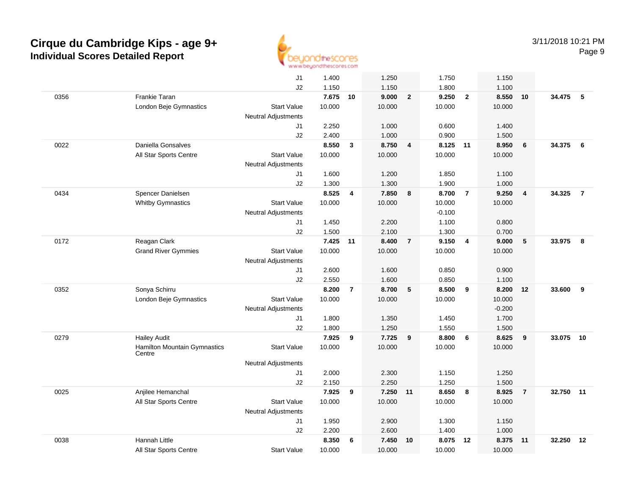

|      |                                        | J1                         | 1.400    |                | 1.250    |                | 1.750    |                  | 1.150    |                |        |                |
|------|----------------------------------------|----------------------------|----------|----------------|----------|----------------|----------|------------------|----------|----------------|--------|----------------|
|      |                                        | J2                         | 1.150    |                | 1.150    |                | 1.800    |                  | 1.100    |                |        |                |
| 0356 | Frankie Taran                          |                            | 7.675    | 10             | 9.000    | $\overline{2}$ | 9.250    | $\overline{2}$   | 8.550    | 10             | 34.475 | 5              |
|      | London Beje Gymnastics                 | <b>Start Value</b>         | 10.000   |                | 10.000   |                | 10.000   |                  | 10.000   |                |        |                |
|      |                                        | <b>Neutral Adjustments</b> |          |                |          |                |          |                  |          |                |        |                |
|      |                                        | J1                         | 2.250    |                | 1.000    |                | 0.600    |                  | 1.400    |                |        |                |
|      |                                        | J2                         | 2.400    |                | 1.000    |                | 0.900    |                  | 1.500    |                |        |                |
| 0022 | Daniella Gonsalves                     |                            | 8.550    | 3              | 8.750    | $\overline{4}$ | 8.125 11 |                  | 8.950    | 6              | 34.375 | 6              |
|      | All Star Sports Centre                 | <b>Start Value</b>         | 10.000   |                | 10.000   |                | 10.000   |                  | 10.000   |                |        |                |
|      |                                        | Neutral Adjustments        |          |                |          |                |          |                  |          |                |        |                |
|      |                                        | J1                         | 1.600    |                | 1.200    |                | 1.850    |                  | 1.100    |                |        |                |
|      |                                        | J2                         | 1.300    |                | 1.300    |                | 1.900    |                  | 1.000    |                |        |                |
| 0434 | Spencer Danielsen                      |                            | 8.525    | 4              | 7.850    | 8              | 8.700    | $\overline{7}$   | 9.250    | $\overline{4}$ | 34.325 | $\overline{7}$ |
|      | <b>Whitby Gymnastics</b>               | <b>Start Value</b>         | 10.000   |                | 10.000   |                | 10.000   |                  | 10.000   |                |        |                |
|      |                                        | Neutral Adjustments        |          |                |          |                | $-0.100$ |                  |          |                |        |                |
|      |                                        | J1                         | 1.450    |                | 2.200    |                | 1.100    |                  | 0.800    |                |        |                |
|      |                                        | J2                         | 1.500    |                | 2.100    |                | 1.300    |                  | 0.700    |                |        |                |
| 0172 | Reagan Clark                           |                            | 7.425 11 |                | 8.400    | $\overline{7}$ | 9.150    | $\overline{4}$   | 9.000    | 5              | 33.975 | 8              |
|      | <b>Grand River Gymmies</b>             | <b>Start Value</b>         | 10.000   |                | 10.000   |                | 10.000   |                  | 10.000   |                |        |                |
|      |                                        | <b>Neutral Adjustments</b> |          |                |          |                |          |                  |          |                |        |                |
|      |                                        | J1                         | 2.600    |                | 1.600    |                | 0.850    |                  | 0.900    |                |        |                |
|      |                                        | J2                         | 2.550    |                | 1.600    |                | 0.850    |                  | 1.100    |                |        |                |
| 0352 | Sonya Schirru                          |                            | 8.200    | $\overline{7}$ | 8.700    | 5              | 8.500    | $\boldsymbol{9}$ | 8.200    | 12             | 33.600 | 9              |
|      | London Beje Gymnastics                 | <b>Start Value</b>         | 10.000   |                | 10.000   |                | 10.000   |                  | 10.000   |                |        |                |
|      |                                        | <b>Neutral Adjustments</b> |          |                |          |                |          |                  | $-0.200$ |                |        |                |
|      |                                        | J1                         | 1.800    |                | 1.350    |                | 1.450    |                  | 1.700    |                |        |                |
|      |                                        | J2                         | 1.800    |                | 1.250    |                | 1.550    |                  | 1.500    |                |        |                |
| 0279 | <b>Hailey Audit</b>                    |                            | 7.925    | 9              | 7.725    | 9              | 8.800    | 6                | 8.625    | 9              | 33.075 | 10             |
|      | Hamilton Mountain Gymnastics<br>Centre | <b>Start Value</b>         | 10.000   |                | 10.000   |                | 10.000   |                  | 10.000   |                |        |                |
|      |                                        | <b>Neutral Adjustments</b> |          |                |          |                |          |                  |          |                |        |                |
|      |                                        | J1                         | 2.000    |                | 2.300    |                | 1.150    |                  | 1.250    |                |        |                |
|      |                                        | J2                         | 2.150    |                | 2.250    |                | 1.250    |                  | 1.500    |                |        |                |
| 0025 | Anjilee Hemanchal                      |                            | 7.925    | 9              | 7.250 11 |                | 8.650    | 8                | 8.925    | $\overline{7}$ | 32.750 | 11             |
|      | All Star Sports Centre                 | <b>Start Value</b>         | 10.000   |                | 10.000   |                | 10.000   |                  | 10.000   |                |        |                |
|      |                                        | <b>Neutral Adjustments</b> |          |                |          |                |          |                  |          |                |        |                |
|      |                                        | J1                         | 1.950    |                | 2.900    |                | 1.300    |                  | 1.150    |                |        |                |
|      |                                        | J2                         | 2.200    |                | 2.600    |                | 1.400    |                  | 1.000    |                |        |                |
| 0038 | Hannah Little                          |                            | 8.350    | 6              | 7.450    | 10             | 8.075    | 12               | 8.375    | 11             | 32.250 | 12             |
|      | All Star Sports Centre                 | <b>Start Value</b>         | 10.000   |                | 10.000   |                | 10.000   |                  | 10.000   |                |        |                |
|      |                                        |                            |          |                |          |                |          |                  |          |                |        |                |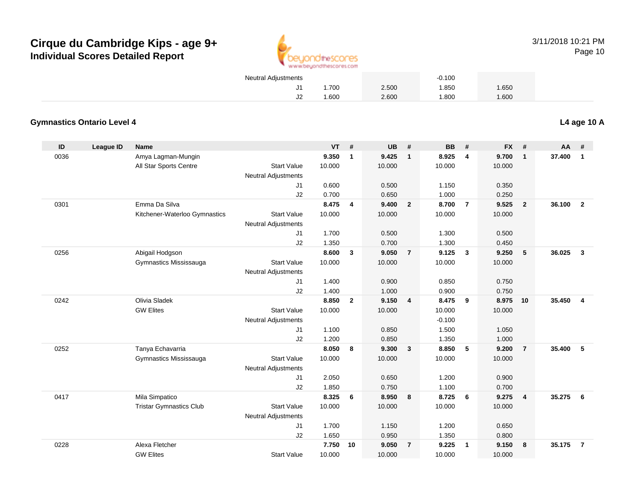

| Neutral Adjustments |        |       | $-0.100$ |       |  |
|---------------------|--------|-------|----------|-------|--|
|                     | . .700 | 2.500 | .850     | 1.650 |  |
| J2                  | .600   | 2.600 | .800     | 1.600 |  |

### **Gymnastics Ontario Level 4**

**ID League ID Name VT # UB # BB # FX # AA #** 0036 Amya Lagman-Mungin **9.350 <sup>1</sup> 9.425 <sup>1</sup> 8.925 <sup>4</sup> 9.700 <sup>1</sup> 37.400 <sup>1</sup>** All Star Sports Centre Start Value 10.000 10.000 10.000 10.000 Neutral Adjustments J1 0.600 0.500 1.150 0.350 J2 0.700 0.650 1.000 0.250 0301 Emma Da Silva **8.475 <sup>4</sup> 9.400 <sup>2</sup> 8.700 <sup>7</sup> 9.525 <sup>2</sup> 36.100 <sup>2</sup>** Kitchener-Waterloo Gymnastics Start Valuee 10.000 10.000 10.000 10.000 Neutral Adjustments J1 1.700 0.500 1.300 0.500 J2 1.350 0.700 1.300 0.450 0256 Abigail Hodgson **8.600 <sup>3</sup> 9.050 <sup>7</sup> 9.125 <sup>3</sup> 9.250 <sup>5</sup> 36.025 <sup>3</sup>** Gymnastics Mississauga Start Value 10.000 10.000 10.000 10.000 Neutral Adjustments J1 1.400 0.900 0.850 0.750 J22 1.400 1.000 0.900 0.750 0242 Olivia Sladek **8.850 <sup>2</sup> 9.150 <sup>4</sup> 8.475 <sup>9</sup> 8.975 <sup>10</sup> 35.450 <sup>4</sup>** GW Elites Start Valuee 10.000 10.000 10.000 10.000 Neutral Adjustments $\sim$  -0.100 1.500 J1 1.100 0.850 1.500 1.050 J2 1.200 0.850 1.350 1.000 0252 Tanya Echavarria **8.050 <sup>8</sup> 9.300 <sup>3</sup> 8.850 <sup>5</sup> 9.200 <sup>7</sup> 35.400 <sup>5</sup>** Gymnastics Mississauga Start Value 10.000 10.000 10.000 10.000 Neutral Adjustments J1 2.050 0.650 1.200 0.900 J2 1.850 0.750 1.100 0.700 0417 Mila Simpatico **8.325 <sup>6</sup> 8.950 <sup>8</sup> 8.725 <sup>6</sup> 9.275 <sup>4</sup> 35.275 <sup>6</sup>** Tristar Gymnastics Clubb 3tart Value 10.000 10.000 10.000 10.000 10.000 Neutral Adjustments J1 1.700 1.150 1.200 0.650 J2 1.650 0.950 1.350 0.800 0228 Alexa Fletcher **7.750 <sup>10</sup> 9.050 <sup>7</sup> 9.225 <sup>1</sup> 9.150 <sup>8</sup> 35.175 <sup>7</sup>** GW Elites Start Valuee 10.000 10.000 10.000 10.000

**L4 age 10 A**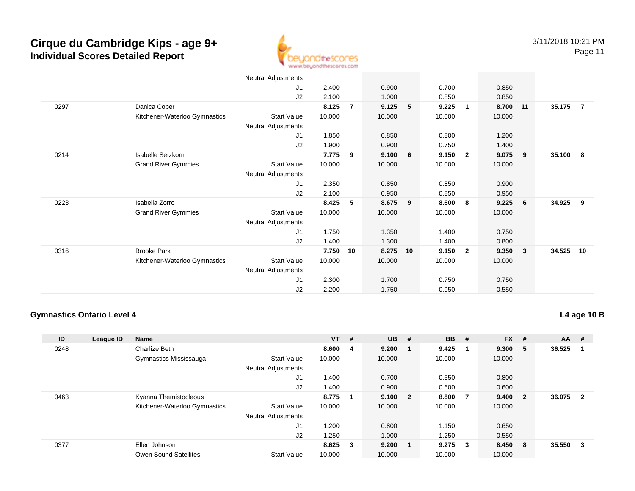

|      |                               | Neutral Adjustments        |        |                |        |                 |        |                         |        |     |        |    |
|------|-------------------------------|----------------------------|--------|----------------|--------|-----------------|--------|-------------------------|--------|-----|--------|----|
|      |                               | J1                         | 2.400  |                | 0.900  |                 | 0.700  |                         | 0.850  |     |        |    |
|      |                               | J2                         | 2.100  |                | 1.000  |                 | 0.850  |                         | 0.850  |     |        |    |
| 0297 | Danica Cober                  |                            | 8.125  | $\overline{7}$ | 9.125  | 5               | 9.225  | $\overline{\mathbf{1}}$ | 8.700  | 11  | 35.175 | 7  |
|      | Kitchener-Waterloo Gymnastics | <b>Start Value</b>         | 10.000 |                | 10.000 |                 | 10.000 |                         | 10.000 |     |        |    |
|      |                               | Neutral Adjustments        |        |                |        |                 |        |                         |        |     |        |    |
|      |                               | J1                         | 1.850  |                | 0.850  |                 | 0.800  |                         | 1.200  |     |        |    |
|      |                               | J2                         | 1.900  |                | 0.900  |                 | 0.750  |                         | 1.400  |     |        |    |
| 0214 | Isabelle Setzkorn             |                            | 7.775  | 9              | 9.100  | $6\overline{6}$ | 9.150  | $\overline{\mathbf{2}}$ | 9.075  | - 9 | 35.100 | 8  |
|      | <b>Grand River Gymmies</b>    | <b>Start Value</b>         | 10.000 |                | 10.000 |                 | 10.000 |                         | 10.000 |     |        |    |
|      |                               | <b>Neutral Adjustments</b> |        |                |        |                 |        |                         |        |     |        |    |
|      |                               | J1                         | 2.350  |                | 0.850  |                 | 0.850  |                         | 0.900  |     |        |    |
|      |                               | J2                         | 2.100  |                | 0.950  |                 | 0.850  |                         | 0.950  |     |        |    |
| 0223 | Isabella Zorro                |                            | 8.425  | 5              | 8.675  | - 9             | 8.600  | 8                       | 9.225  | - 6 | 34.925 | 9  |
|      | <b>Grand River Gymmies</b>    | <b>Start Value</b>         | 10.000 |                | 10.000 |                 | 10.000 |                         | 10.000 |     |        |    |
|      |                               | Neutral Adjustments        |        |                |        |                 |        |                         |        |     |        |    |
|      |                               | J1                         | 1.750  |                | 1.350  |                 | 1.400  |                         | 0.750  |     |        |    |
|      |                               | J2                         | 1.400  |                | 1.300  |                 | 1.400  |                         | 0.800  |     |        |    |
| 0316 | <b>Brooke Park</b>            |                            | 7.750  | 10             | 8.275  | 10              | 9.150  | $\overline{\mathbf{2}}$ | 9.350  | 3   | 34.525 | 10 |
|      | Kitchener-Waterloo Gymnastics | <b>Start Value</b>         | 10.000 |                | 10.000 |                 | 10.000 |                         | 10.000 |     |        |    |
|      |                               | <b>Neutral Adjustments</b> |        |                |        |                 |        |                         |        |     |        |    |
|      |                               | J1                         | 2.300  |                | 1.700  |                 | 0.750  |                         | 0.750  |     |        |    |
|      |                               | J <sub>2</sub>             | 2.200  |                | 1.750  |                 | 0.950  |                         | 0.550  |     |        |    |

### **Gymnastics Ontario Level 4**

**ID League ID Name VT # UB # BB # FX # AA #** 0248 Charlize Beth **8.600 <sup>4</sup> 9.200 <sup>1</sup> 9.425 <sup>1</sup> 9.300 <sup>5</sup> 36.525 <sup>1</sup>** Gymnastics Mississauga Start Value 10.000 10.000 10.000 10.000 Neutral Adjustments J1 1.400 0.700 0.550 0.800 J2 1.400 0.900 0.600 0.600 0463 Kyanna Themistocleous **8.775 <sup>1</sup> 9.100 <sup>2</sup> 8.800 <sup>7</sup> 9.400 <sup>2</sup> 36.075 <sup>2</sup>** Kitchener-Waterloo Gymnastics Start Valuee 10.000 10.000 10.000 10.000 Neutral Adjustments J1 1.200 0.800 1.150 0.650 J2 1.250 1.000 1.250 0.550 0377 Ellen Johnson **8.625 <sup>3</sup> 9.200 <sup>1</sup> 9.275 <sup>3</sup> 8.450 <sup>8</sup> 35.550 <sup>3</sup>** Owen Sound Satellites Start Valuee 10.000 10.000 10.000 10.000

**L4 age 10 B**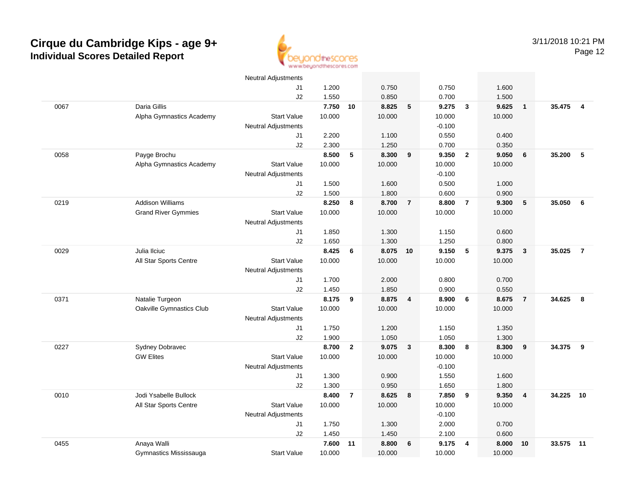

|      |                            | Neutral Adjustments        |                |                |                |                         |                |                |        |                |        |                |
|------|----------------------------|----------------------------|----------------|----------------|----------------|-------------------------|----------------|----------------|--------|----------------|--------|----------------|
|      |                            | J1                         | 1.200          |                | 0.750          |                         | 0.750          |                | 1.600  |                |        |                |
|      |                            | J2                         | 1.550          |                | 0.850          |                         | 0.700          |                | 1.500  |                |        |                |
| 0067 | Daria Gillis               |                            | 7.750          | 10             | 8.825          | $5\phantom{.0}$         | 9.275          | $\mathbf{3}$   | 9.625  | $\mathbf{1}$   | 35.475 | $\overline{4}$ |
|      | Alpha Gymnastics Academy   | <b>Start Value</b>         | 10.000         |                | 10.000         |                         | 10.000         |                | 10.000 |                |        |                |
|      |                            | <b>Neutral Adjustments</b> |                |                |                |                         | $-0.100$       |                |        |                |        |                |
|      |                            | J1                         | 2.200          |                | 1.100          |                         | 0.550          |                | 0.400  |                |        |                |
|      |                            | J2                         | 2.300          |                | 1.250          |                         | 0.700          |                | 0.350  |                |        |                |
| 0058 | Payge Brochu               |                            | 8.500          | 5              | 8.300          | 9                       | 9.350          | $\overline{2}$ | 9.050  | 6              | 35.200 | 5              |
|      | Alpha Gymnastics Academy   | <b>Start Value</b>         | 10.000         |                | 10.000         |                         | 10.000         |                | 10.000 |                |        |                |
|      |                            | Neutral Adjustments        |                |                |                |                         | $-0.100$       |                |        |                |        |                |
|      |                            | J1                         | 1.500          |                | 1.600          |                         | 0.500          |                | 1.000  |                |        |                |
|      |                            | J2                         | 1.500          |                | 1.800          |                         | 0.600          |                | 0.900  |                |        |                |
| 0219 | <b>Addison Williams</b>    |                            | 8.250          | 8              | 8.700          | $\overline{7}$          | 8.800          | $\overline{7}$ | 9.300  | 5              | 35.050 | 6              |
|      | <b>Grand River Gymmies</b> | <b>Start Value</b>         | 10.000         |                | 10.000         |                         | 10.000         |                | 10.000 |                |        |                |
|      |                            | <b>Neutral Adjustments</b> |                |                |                |                         |                |                |        |                |        |                |
|      |                            | J1                         | 1.850          |                | 1.300          |                         | 1.150          |                | 0.600  |                |        |                |
|      |                            | J2                         | 1.650          |                | 1.300          |                         | 1.250          |                | 0.800  |                |        |                |
| 0029 | Julia Ilciuc               |                            | 8.425          | 6              | 8.075          | 10                      | 9.150          | 5              | 9.375  | $\mathbf{3}$   | 35.025 | $\overline{7}$ |
|      | All Star Sports Centre     | <b>Start Value</b>         | 10.000         |                | 10.000         |                         | 10.000         |                | 10.000 |                |        |                |
|      |                            | <b>Neutral Adjustments</b> |                |                |                |                         |                |                |        |                |        |                |
|      |                            | J1                         | 1.700          |                | 2.000          |                         | 0.800          |                | 0.700  |                |        |                |
| 0371 | Natalie Turgeon            | J2                         | 1.450<br>8.175 | 9              | 1.850<br>8.875 | $\overline{\mathbf{4}}$ | 0.900<br>8.900 | - 6            | 0.550  |                | 34.625 | 8              |
|      |                            | <b>Start Value</b>         | 10.000         |                | 10.000         |                         | 10.000         |                | 8.675  | $\overline{7}$ |        |                |
|      | Oakville Gymnastics Club   | <b>Neutral Adjustments</b> |                |                |                |                         |                |                | 10.000 |                |        |                |
|      |                            | J1                         | 1.750          |                | 1.200          |                         | 1.150          |                | 1.350  |                |        |                |
|      |                            | J2                         | 1.900          |                | 1.050          |                         | 1.050          |                | 1.300  |                |        |                |
| 0227 | Sydney Dobravec            |                            | 8.700          | $\overline{2}$ | 9.075          | $\overline{\mathbf{3}}$ | 8.300          | 8              | 8.300  | 9              | 34.375 | 9              |
|      | <b>GW Elites</b>           | <b>Start Value</b>         | 10.000         |                | 10.000         |                         | 10.000         |                | 10.000 |                |        |                |
|      |                            | <b>Neutral Adjustments</b> |                |                |                |                         | $-0.100$       |                |        |                |        |                |
|      |                            | J1                         | 1.300          |                | 0.900          |                         | 1.550          |                | 1.600  |                |        |                |
|      |                            | J2                         | 1.300          |                | 0.950          |                         | 1.650          |                | 1.800  |                |        |                |
| 0010 | Jodi Ysabelle Bullock      |                            | 8.400          | $\overline{7}$ | 8.625          | 8                       | 7.850          | 9              | 9.350  | $\overline{4}$ | 34.225 | 10             |
|      | All Star Sports Centre     | <b>Start Value</b>         | 10.000         |                | 10.000         |                         | 10.000         |                | 10.000 |                |        |                |
|      |                            | Neutral Adjustments        |                |                |                |                         | $-0.100$       |                |        |                |        |                |
|      |                            | J1                         | 1.750          |                | 1.300          |                         | 2.000          |                | 0.700  |                |        |                |
|      |                            | J2                         | 1.450          |                | 1.450          |                         | 2.100          |                | 0.600  |                |        |                |
| 0455 | Anaya Walli                |                            | 7.600          | 11             | 8.800          | 6                       | 9.175          | $\overline{4}$ | 8.000  | 10             | 33.575 | 11             |
|      | Gymnastics Mississauga     | <b>Start Value</b>         | 10.000         |                | 10.000         |                         | 10.000         |                | 10.000 |                |        |                |
|      |                            |                            |                |                |                |                         |                |                |        |                |        |                |